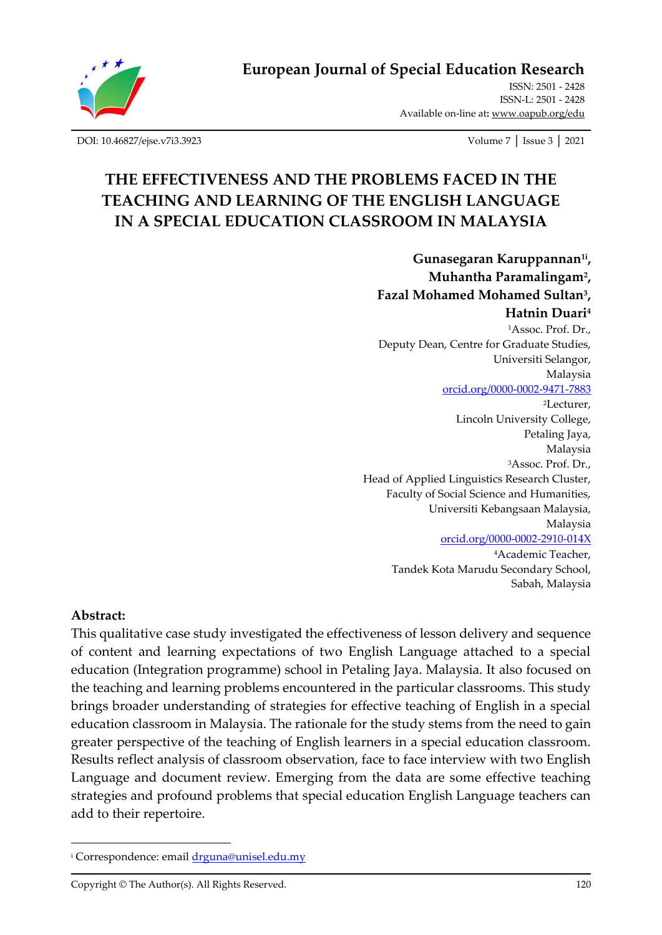

ISSN: 2501 - 2428 ISSN-L: 2501 - 2428 Available on-line at**:** [www.oapub.org/edu](http://www.oapub.org/edu)

[DOI: 10.46827/ejse.v7i3.3923](http://dx.doi.org/10.46827/ejse.v7i3.3923) Volume 7 │ Issue 3 │ 2021

# **THE EFFECTIVENESS AND THE PROBLEMS FACED IN THE TEACHING AND LEARNING OF THE ENGLISH LANGUAGE IN A SPECIAL EDUCATION CLASSROOM IN MALAYSIA**

**Gunasegaran Karuppannan1i , Muhantha Paramalingam<sup>2</sup> , Fazal Mohamed Mohamed Sultan<sup>3</sup> , Hatnin Duari<sup>4</sup>** <sup>1</sup>Assoc. Prof. Dr., Deputy Dean, Centre for Graduate Studies, Universiti Selangor, Malaysia [orcid.org/0000-0002-9471-7883](https://orcid.org/0000-0002-9471-7883) <sup>2</sup>Lecturer, Lincoln University College, Petaling Jaya, Malaysia <sup>3</sup>Assoc. Prof. Dr., Head of Applied Linguistics Research Cluster, Faculty of Social Science and Humanities, Universiti Kebangsaan Malaysia, Malaysia [orcid.org/0000-0002-2910-014X](https://orcid.org/0000-0002-2910-014X) <sup>4</sup>Academic Teacher, Tandek Kota Marudu Secondary School, Sabah, Malaysia

#### **Abstract:**

This qualitative case study investigated the effectiveness of lesson delivery and sequence of content and learning expectations of two English Language attached to a special education (Integration programme) school in Petaling Jaya. Malaysia. It also focused on the teaching and learning problems encountered in the particular classrooms. This study brings broader understanding of strategies for effective teaching of English in a special education classroom in Malaysia. The rationale for the study stems from the need to gain greater perspective of the teaching of English learners in a special education classroom. Results reflect analysis of classroom observation, face to face interview with two English Language and document review. Emerging from the data are some effective teaching strategies and profound problems that special education English Language teachers can add to their repertoire.

<sup>&</sup>lt;sup>i</sup> Correspondence: emai[l drguna@unisel.edu.my](mailto:drguna@unisel.edu.my)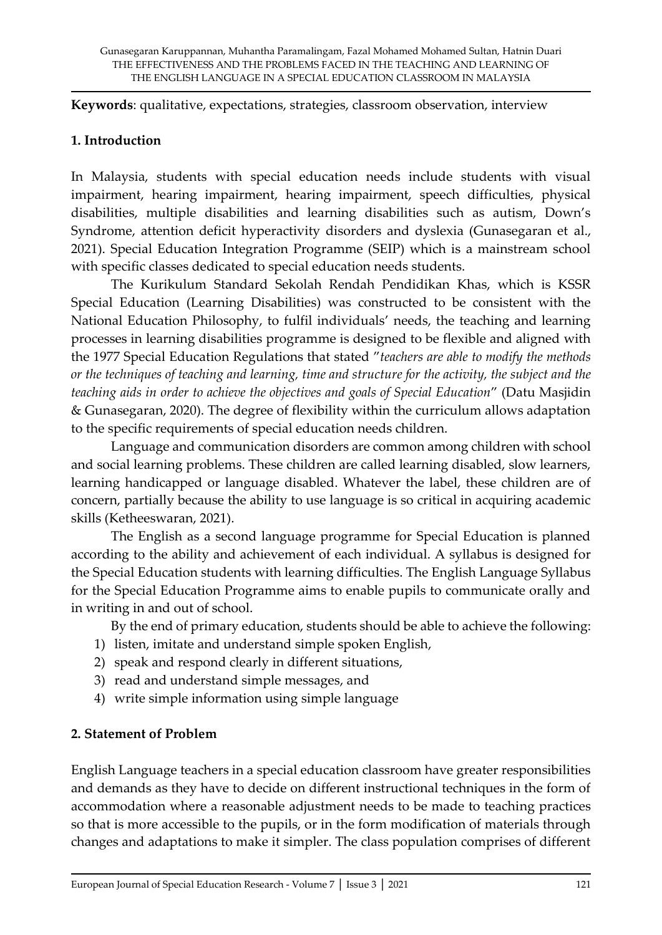**Keywords**: qualitative, expectations, strategies, classroom observation, interview

#### **1. Introduction**

In Malaysia, students with special education needs include students with visual impairment, hearing impairment, hearing impairment, speech difficulties, physical disabilities, multiple disabilities and learning disabilities such as autism, Down's Syndrome, attention deficit hyperactivity disorders and dyslexia (Gunasegaran et al., 2021). Special Education Integration Programme (SEIP) which is a mainstream school with specific classes dedicated to special education needs students.

The Kurikulum Standard Sekolah Rendah Pendidikan Khas, which is KSSR Special Education (Learning Disabilities) was constructed to be consistent with the National Education Philosophy, to fulfil individuals' needs, the teaching and learning processes in learning disabilities programme is designed to be flexible and aligned with the 1977 Special Education Regulations that stated "*teachers are able to modify the methods or the techniques of teaching and learning, time and structure for the activity, the subject and the teaching aids in order to achieve the objectives and goals of Special Education*" (Datu Masjidin & Gunasegaran, 2020). The degree of flexibility within the curriculum allows adaptation to the specific requirements of special education needs children.

Language and communication disorders are common among children with school and social learning problems. These children are called learning disabled, slow learners, learning handicapped or language disabled. Whatever the label, these children are of concern, partially because the ability to use language is so critical in acquiring academic skills (Ketheeswaran, 2021).

The English as a second language programme for Special Education is planned according to the ability and achievement of each individual. A syllabus is designed for the Special Education students with learning difficulties. The English Language Syllabus for the Special Education Programme aims to enable pupils to communicate orally and in writing in and out of school.

By the end of primary education, students should be able to achieve the following:

- 1) listen, imitate and understand simple spoken English,
- 2) speak and respond clearly in different situations,
- 3) read and understand simple messages, and
- 4) write simple information using simple language

#### **2. Statement of Problem**

English Language teachers in a special education classroom have greater responsibilities and demands as they have to decide on different instructional techniques in the form of accommodation where a reasonable adjustment needs to be made to teaching practices so that is more accessible to the pupils, or in the form modification of materials through changes and adaptations to make it simpler. The class population comprises of different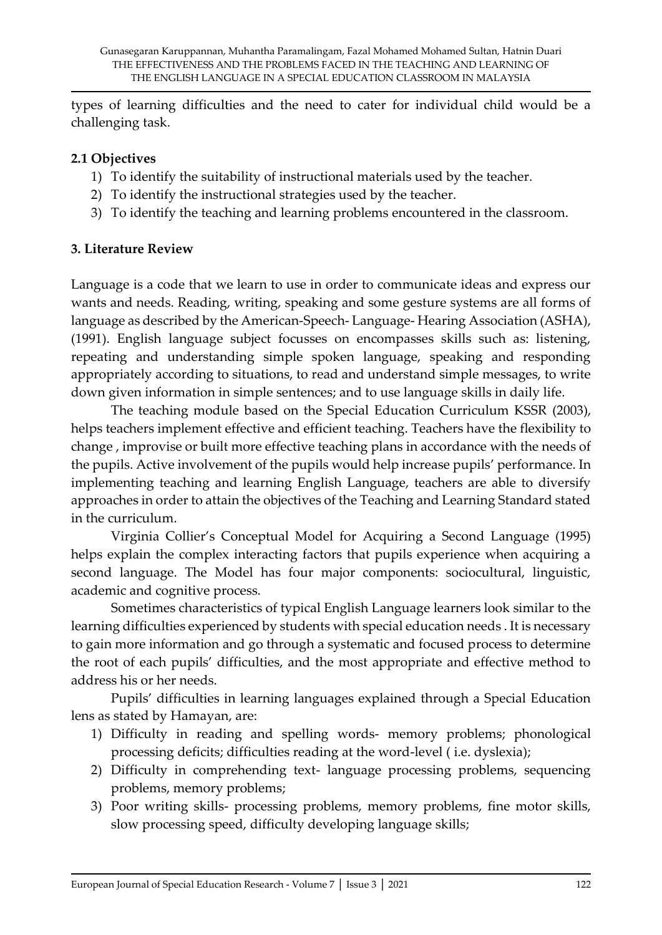types of learning difficulties and the need to cater for individual child would be a challenging task.

### **2.1 Objectives**

- 1) To identify the suitability of instructional materials used by the teacher.
- 2) To identify the instructional strategies used by the teacher.
- 3) To identify the teaching and learning problems encountered in the classroom.

### **3. Literature Review**

Language is a code that we learn to use in order to communicate ideas and express our wants and needs. Reading, writing, speaking and some gesture systems are all forms of language as described by the American-Speech- Language- Hearing Association (ASHA), (1991). English language subject focusses on encompasses skills such as: listening, repeating and understanding simple spoken language, speaking and responding appropriately according to situations, to read and understand simple messages, to write down given information in simple sentences; and to use language skills in daily life.

The teaching module based on the Special Education Curriculum KSSR (2003), helps teachers implement effective and efficient teaching. Teachers have the flexibility to change , improvise or built more effective teaching plans in accordance with the needs of the pupils. Active involvement of the pupils would help increase pupils' performance. In implementing teaching and learning English Language, teachers are able to diversify approaches in order to attain the objectives of the Teaching and Learning Standard stated in the curriculum.

Virginia Collier's Conceptual Model for Acquiring a Second Language (1995) helps explain the complex interacting factors that pupils experience when acquiring a second language. The Model has four major components: sociocultural, linguistic, academic and cognitive process.

Sometimes characteristics of typical English Language learners look similar to the learning difficulties experienced by students with special education needs . It is necessary to gain more information and go through a systematic and focused process to determine the root of each pupils' difficulties, and the most appropriate and effective method to address his or her needs.

Pupils' difficulties in learning languages explained through a Special Education lens as stated by Hamayan, are:

- 1) Difficulty in reading and spelling words- memory problems; phonological processing deficits; difficulties reading at the word-level ( i.e. dyslexia);
- 2) Difficulty in comprehending text- language processing problems, sequencing problems, memory problems;
- 3) Poor writing skills- processing problems, memory problems, fine motor skills, slow processing speed, difficulty developing language skills;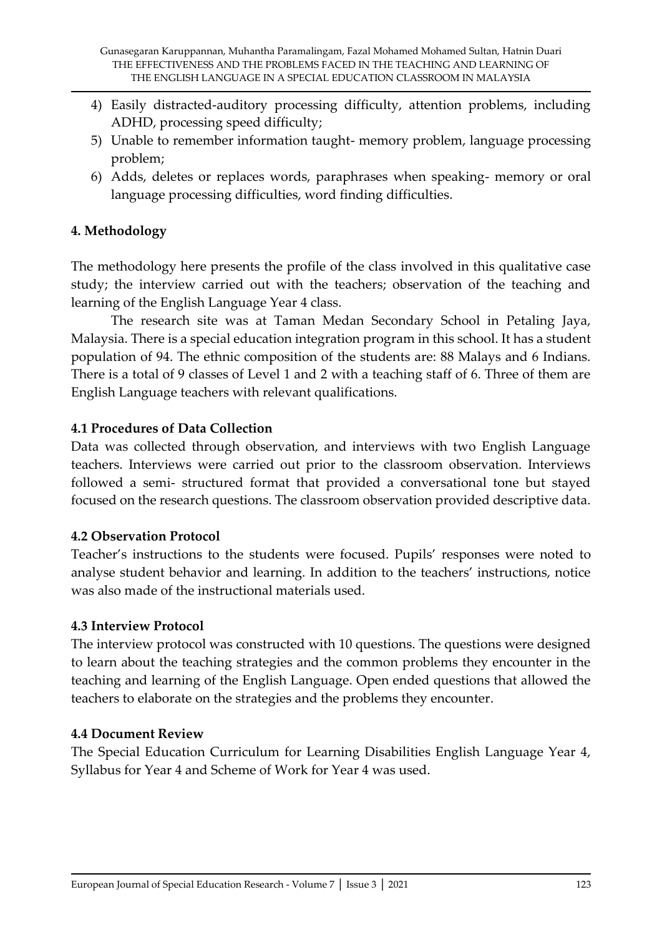- 4) Easily distracted-auditory processing difficulty, attention problems, including ADHD, processing speed difficulty;
- 5) Unable to remember information taught- memory problem, language processing problem;
- 6) Adds, deletes or replaces words, paraphrases when speaking- memory or oral language processing difficulties, word finding difficulties.

# **4. Methodology**

The methodology here presents the profile of the class involved in this qualitative case study; the interview carried out with the teachers; observation of the teaching and learning of the English Language Year 4 class.

The research site was at Taman Medan Secondary School in Petaling Jaya, Malaysia. There is a special education integration program in this school. It has a student population of 94. The ethnic composition of the students are: 88 Malays and 6 Indians. There is a total of 9 classes of Level 1 and 2 with a teaching staff of 6. Three of them are English Language teachers with relevant qualifications.

### **4.1 Procedures of Data Collection**

Data was collected through observation, and interviews with two English Language teachers. Interviews were carried out prior to the classroom observation. Interviews followed a semi- structured format that provided a conversational tone but stayed focused on the research questions. The classroom observation provided descriptive data.

# **4.2 Observation Protocol**

Teacher's instructions to the students were focused. Pupils' responses were noted to analyse student behavior and learning. In addition to the teachers' instructions, notice was also made of the instructional materials used.

# **4.3 Interview Protocol**

The interview protocol was constructed with 10 questions. The questions were designed to learn about the teaching strategies and the common problems they encounter in the teaching and learning of the English Language. Open ended questions that allowed the teachers to elaborate on the strategies and the problems they encounter.

# **4.4 Document Review**

The Special Education Curriculum for Learning Disabilities English Language Year 4, Syllabus for Year 4 and Scheme of Work for Year 4 was used.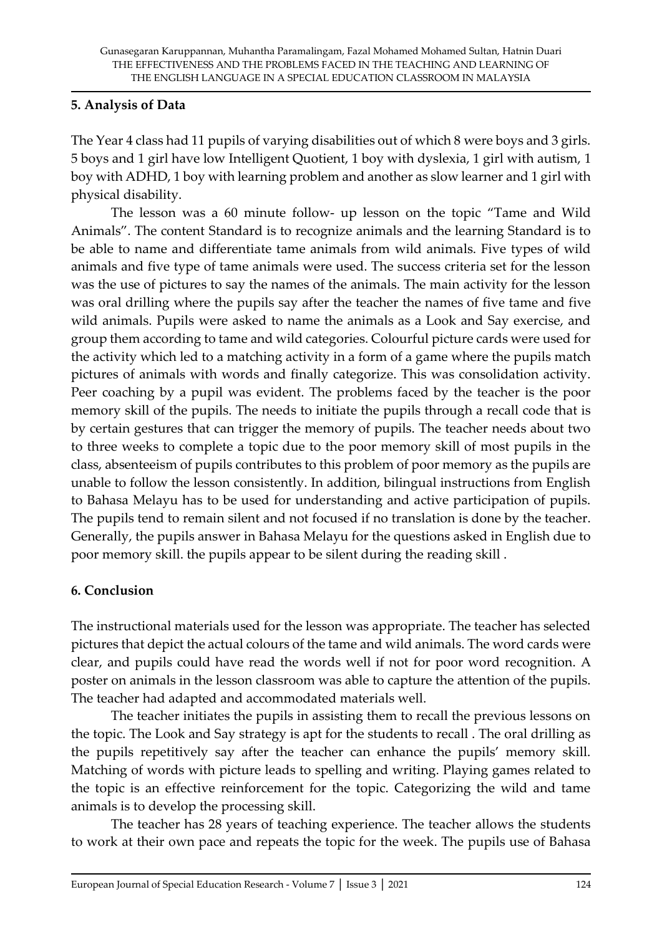### **5. Analysis of Data**

The Year 4 class had 11 pupils of varying disabilities out of which 8 were boys and 3 girls. 5 boys and 1 girl have low Intelligent Quotient, 1 boy with dyslexia, 1 girl with autism, 1 boy with ADHD, 1 boy with learning problem and another as slow learner and 1 girl with physical disability.

The lesson was a 60 minute follow- up lesson on the topic "Tame and Wild Animals". The content Standard is to recognize animals and the learning Standard is to be able to name and differentiate tame animals from wild animals. Five types of wild animals and five type of tame animals were used. The success criteria set for the lesson was the use of pictures to say the names of the animals. The main activity for the lesson was oral drilling where the pupils say after the teacher the names of five tame and five wild animals. Pupils were asked to name the animals as a Look and Say exercise, and group them according to tame and wild categories. Colourful picture cards were used for the activity which led to a matching activity in a form of a game where the pupils match pictures of animals with words and finally categorize. This was consolidation activity. Peer coaching by a pupil was evident. The problems faced by the teacher is the poor memory skill of the pupils. The needs to initiate the pupils through a recall code that is by certain gestures that can trigger the memory of pupils. The teacher needs about two to three weeks to complete a topic due to the poor memory skill of most pupils in the class, absenteeism of pupils contributes to this problem of poor memory as the pupils are unable to follow the lesson consistently. In addition, bilingual instructions from English to Bahasa Melayu has to be used for understanding and active participation of pupils. The pupils tend to remain silent and not focused if no translation is done by the teacher. Generally, the pupils answer in Bahasa Melayu for the questions asked in English due to poor memory skill. the pupils appear to be silent during the reading skill .

#### **6. Conclusion**

The instructional materials used for the lesson was appropriate. The teacher has selected pictures that depict the actual colours of the tame and wild animals. The word cards were clear, and pupils could have read the words well if not for poor word recognition. A poster on animals in the lesson classroom was able to capture the attention of the pupils. The teacher had adapted and accommodated materials well.

The teacher initiates the pupils in assisting them to recall the previous lessons on the topic. The Look and Say strategy is apt for the students to recall . The oral drilling as the pupils repetitively say after the teacher can enhance the pupils' memory skill. Matching of words with picture leads to spelling and writing. Playing games related to the topic is an effective reinforcement for the topic. Categorizing the wild and tame animals is to develop the processing skill.

The teacher has 28 years of teaching experience. The teacher allows the students to work at their own pace and repeats the topic for the week. The pupils use of Bahasa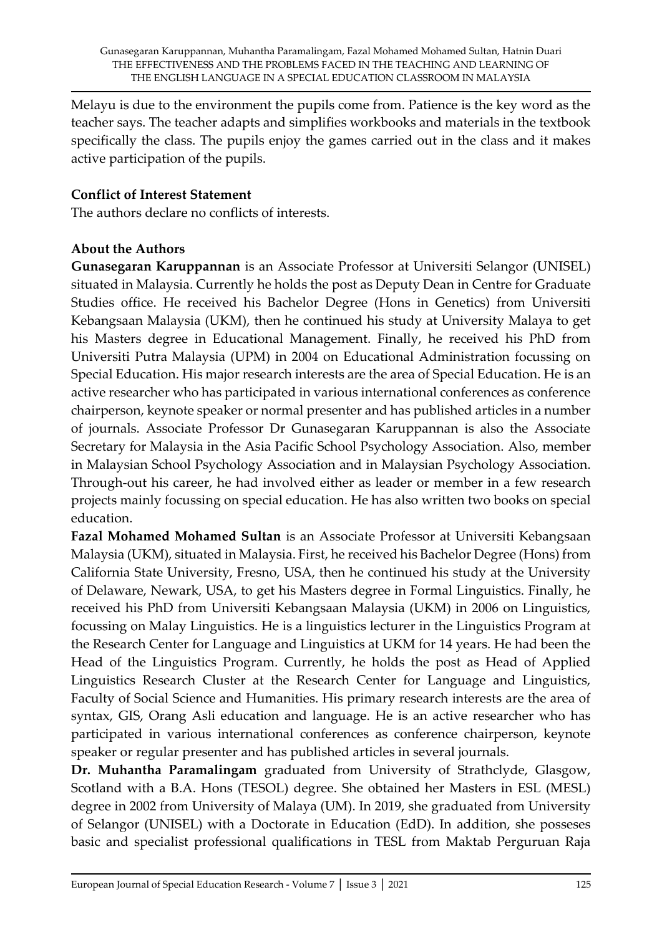Melayu is due to the environment the pupils come from. Patience is the key word as the teacher says. The teacher adapts and simplifies workbooks and materials in the textbook specifically the class. The pupils enjoy the games carried out in the class and it makes active participation of the pupils.

#### **Conflict of Interest Statement**

The authors declare no conflicts of interests.

#### **About the Authors**

**Gunasegaran Karuppannan** is an Associate Professor at Universiti Selangor (UNISEL) situated in Malaysia. Currently he holds the post as Deputy Dean in Centre for Graduate Studies office. He received his Bachelor Degree (Hons in Genetics) from Universiti Kebangsaan Malaysia (UKM), then he continued his study at University Malaya to get his Masters degree in Educational Management. Finally, he received his PhD from Universiti Putra Malaysia (UPM) in 2004 on Educational Administration focussing on Special Education. His major research interests are the area of Special Education. He is an active researcher who has participated in various international conferences as conference chairperson, keynote speaker or normal presenter and has published articles in a number of journals. Associate Professor Dr Gunasegaran Karuppannan is also the Associate Secretary for Malaysia in the Asia Pacific School Psychology Association. Also, member in Malaysian School Psychology Association and in Malaysian Psychology Association. Through-out his career, he had involved either as leader or member in a few research projects mainly focussing on special education. He has also written two books on special education.

**Fazal Mohamed Mohamed Sultan** is an Associate Professor at Universiti Kebangsaan Malaysia (UKM), situated in Malaysia. First, he received his Bachelor Degree (Hons) from California State University, Fresno, USA, then he continued his study at the University of Delaware, Newark, USA, to get his Masters degree in Formal Linguistics. Finally, he received his PhD from Universiti Kebangsaan Malaysia (UKM) in 2006 on Linguistics, focussing on Malay Linguistics. He is a linguistics lecturer in the Linguistics Program at the Research Center for Language and Linguistics at UKM for 14 years. He had been the Head of the Linguistics Program. Currently, he holds the post as Head of Applied Linguistics Research Cluster at the Research Center for Language and Linguistics, Faculty of Social Science and Humanities. His primary research interests are the area of syntax, GIS, Orang Asli education and language. He is an active researcher who has participated in various international conferences as conference chairperson, keynote speaker or regular presenter and has published articles in several journals.

**Dr. Muhantha Paramalingam** graduated from University of Strathclyde, Glasgow, Scotland with a B.A. Hons (TESOL) degree. She obtained her Masters in ESL (MESL) degree in 2002 from University of Malaya (UM). In 2019, she graduated from University of Selangor (UNISEL) with a Doctorate in Education (EdD). In addition, she posseses basic and specialist professional qualifications in TESL from Maktab Perguruan Raja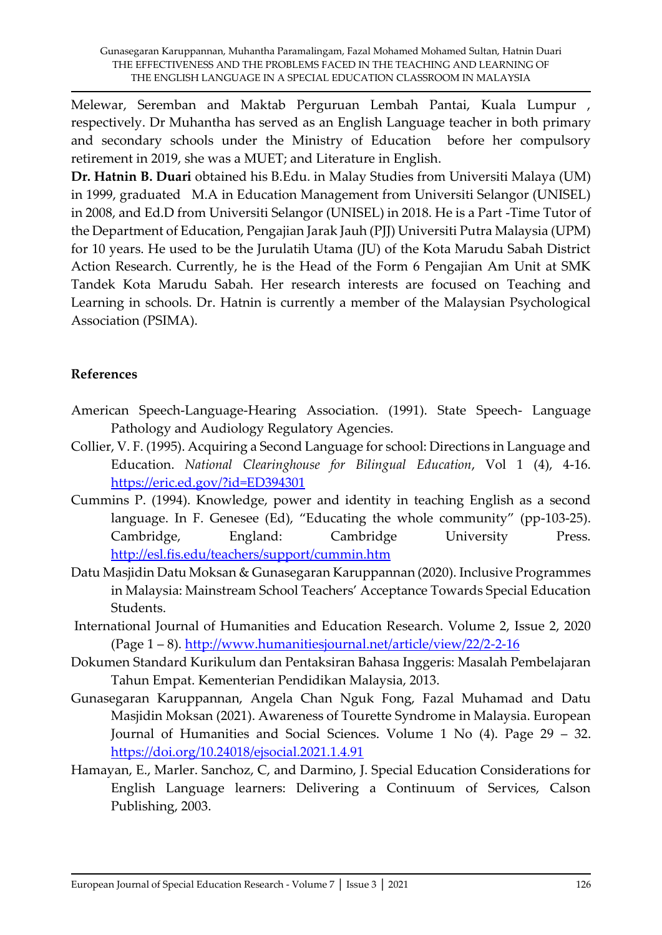Melewar, Seremban and Maktab Perguruan Lembah Pantai, Kuala Lumpur , respectively. Dr Muhantha has served as an English Language teacher in both primary and secondary schools under the Ministry of Education before her compulsory retirement in 2019, she was a MUET; and Literature in English.

**Dr. Hatnin B. Duari** obtained his B.Edu. in Malay Studies from Universiti Malaya (UM) in 1999, graduated M.A in Education Management from Universiti Selangor (UNISEL) in 2008, and Ed.D from Universiti Selangor (UNISEL) in 2018. He is a Part -Time Tutor of the Department of Education, Pengajian Jarak Jauh (PJJ) Universiti Putra Malaysia (UPM) for 10 years. He used to be the Jurulatih Utama (JU) of the Kota Marudu Sabah District Action Research. Currently, he is the Head of the Form 6 Pengajian Am Unit at SMK Tandek Kota Marudu Sabah. Her research interests are focused on Teaching and Learning in schools. Dr. Hatnin is currently a member of the Malaysian Psychological Association (PSIMA).

### **References**

- American Speech-Language-Hearing Association. (1991). State Speech- Language Pathology and Audiology Regulatory Agencies.
- Collier, V. F. (1995). Acquiring a Second Language for school: Directions in Language and Education. *National Clearinghouse for Bilingual Education*, Vol 1 (4), 4-16. <https://eric.ed.gov/?id=ED394301>
- Cummins P. (1994). Knowledge, power and identity in teaching English as a second language. In F. Genesee (Ed), "Educating the whole community" (pp-103-25). Cambridge, England: Cambridge University Press. <http://esl.fis.edu/teachers/support/cummin.htm>
- Datu Masjidin Datu Moksan & Gunasegaran Karuppannan (2020). Inclusive Programmes in Malaysia: Mainstream School Teachers' Acceptance Towards Special Education Students.
- International Journal of Humanities and Education Research. Volume 2, Issue 2, 2020 (Page 1 – 8).<http://www.humanitiesjournal.net/article/view/22/2-2-16>
- Dokumen Standard Kurikulum dan Pentaksiran Bahasa Inggeris: Masalah Pembelajaran Tahun Empat. Kementerian Pendidikan Malaysia, 2013.
- Gunasegaran Karuppannan, Angela Chan Nguk Fong, Fazal Muhamad and Datu Masjidin Moksan (2021). Awareness of Tourette Syndrome in Malaysia. European Journal of Humanities and Social Sciences. Volume 1 No (4). Page 29 – 32. <https://doi.org/10.24018/ejsocial.2021.1.4.91>
- Hamayan, E., Marler. Sanchoz, C, and Darmino, J. Special Education Considerations for English Language learners: Delivering a Continuum of Services, Calson Publishing, 2003.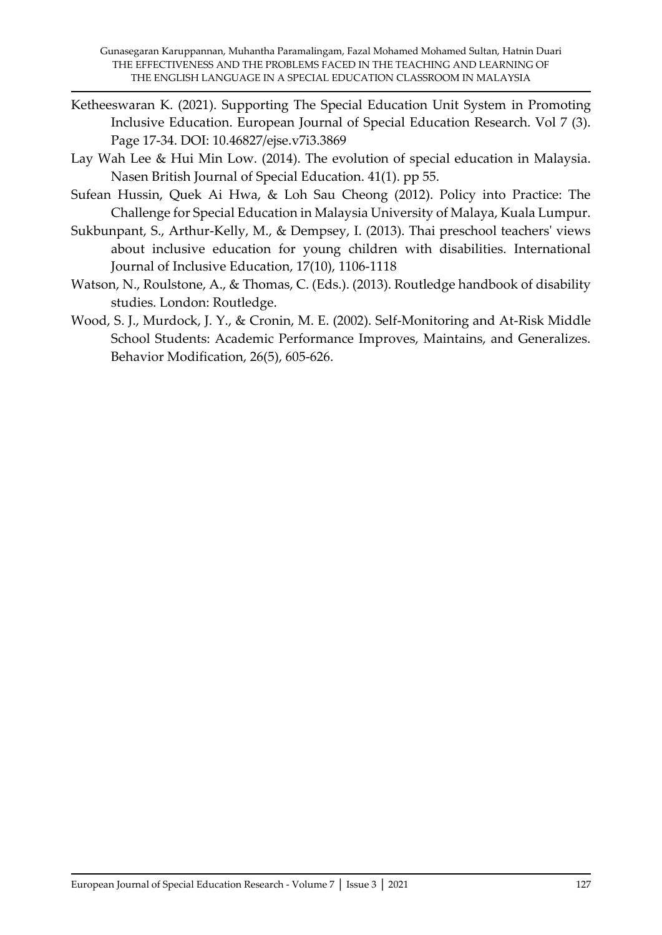- Ketheeswaran K. (2021). Supporting The Special Education Unit System in Promoting Inclusive Education. European Journal of Special Education Research. Vol 7 (3). Page 17-34. DOI: 10.46827/ejse.v7i3.3869
- Lay Wah Lee & Hui Min Low. (2014). The evolution of special education in Malaysia. Nasen British Journal of Special Education. 41(1). pp 55.
- Sufean Hussin, Quek Ai Hwa, & Loh Sau Cheong (2012). Policy into Practice: The Challenge for Special Education in Malaysia University of Malaya, Kuala Lumpur.
- Sukbunpant, S., Arthur-Kelly, M., & Dempsey, I. (2013). Thai preschool teachers' views about inclusive education for young children with disabilities. International Journal of Inclusive Education, 17(10), 1106-1118
- Watson, N., Roulstone, A., & Thomas, C. (Eds.). (2013). Routledge handbook of disability studies. London: Routledge.
- Wood, S. J., Murdock, J. Y., & Cronin, M. E. (2002). Self-Monitoring and At-Risk Middle School Students: Academic Performance Improves, Maintains, and Generalizes. Behavior Modification, 26(5), 605-626.